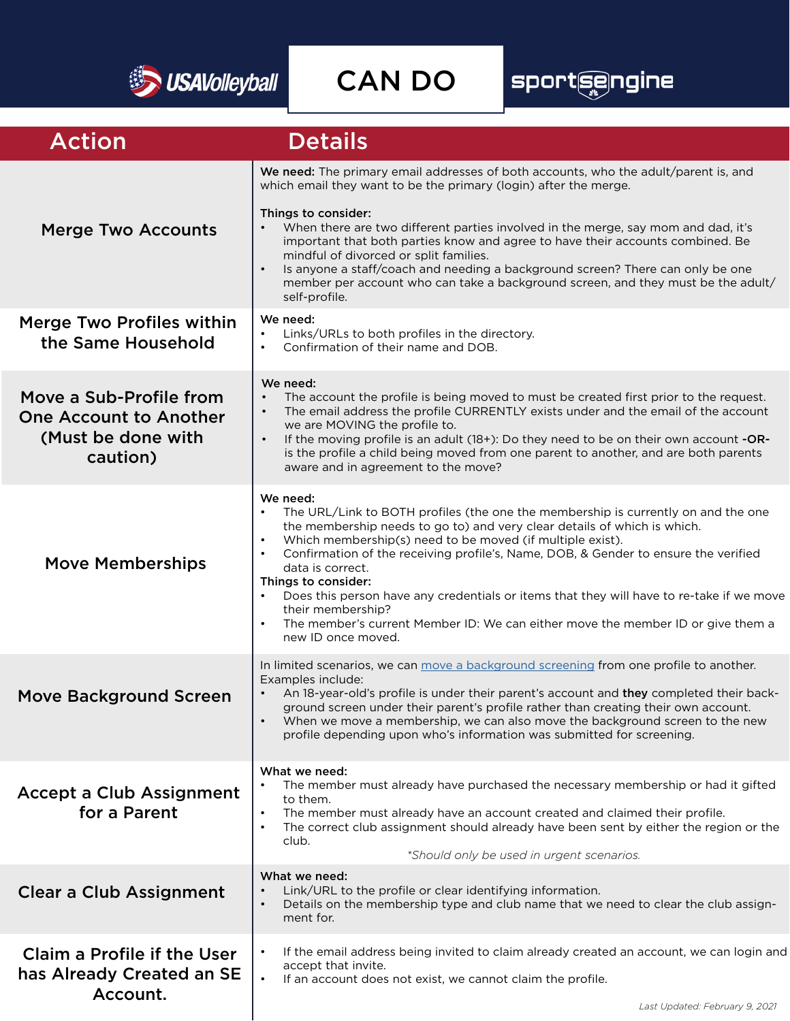

CAN DO

## sport@engine

| <b>Action</b>                                                                              | <b>Details</b>                                                                                                                                                                                                                                                                                                                                                                                                                                                                                                                                                                                                               |
|--------------------------------------------------------------------------------------------|------------------------------------------------------------------------------------------------------------------------------------------------------------------------------------------------------------------------------------------------------------------------------------------------------------------------------------------------------------------------------------------------------------------------------------------------------------------------------------------------------------------------------------------------------------------------------------------------------------------------------|
| <b>Merge Two Accounts</b>                                                                  | We need: The primary email addresses of both accounts, who the adult/parent is, and<br>which email they want to be the primary (login) after the merge.<br>Things to consider:<br>When there are two different parties involved in the merge, say mom and dad, it's<br>important that both parties know and agree to have their accounts combined. Be<br>mindful of divorced or split families.<br>Is anyone a staff/coach and needing a background screen? There can only be one<br>$\bullet$<br>member per account who can take a background screen, and they must be the adult/                                           |
| <b>Merge Two Profiles within</b><br>the Same Household                                     | self-profile.<br>We need:<br>Links/URLs to both profiles in the directory.<br>$\bullet$<br>Confirmation of their name and DOB.<br>$\bullet$                                                                                                                                                                                                                                                                                                                                                                                                                                                                                  |
| Move a Sub-Profile from<br><b>One Account to Another</b><br>(Must be done with<br>caution) | We need:<br>The account the profile is being moved to must be created first prior to the request.<br>The email address the profile CURRENTLY exists under and the email of the account<br>$\bullet$<br>we are MOVING the profile to.<br>If the moving profile is an adult (18+): Do they need to be on their own account -OR-<br>$\bullet$<br>is the profile a child being moved from one parent to another, and are both parents<br>aware and in agreement to the move?                                                                                                                                                     |
| <b>Move Memberships</b>                                                                    | We need:<br>The URL/Link to BOTH profiles (the one the membership is currently on and the one<br>the membership needs to go to) and very clear details of which is which.<br>Which membership(s) need to be moved (if multiple exist).<br>$\bullet$<br>Confirmation of the receiving profile's, Name, DOB, & Gender to ensure the verified<br>data is correct.<br>Things to consider:<br>Does this person have any credentials or items that they will have to re-take if we move<br>their membership?<br>The member's current Member ID: We can either move the member ID or give them a<br>$\bullet$<br>new ID once moved. |
| <b>Move Background Screen</b>                                                              | In limited scenarios, we can move a background screening from one profile to another.<br>Examples include:<br>An 18-year-old's profile is under their parent's account and they completed their back-<br>ground screen under their parent's profile rather than creating their own account.<br>When we move a membership, we can also move the background screen to the new<br>profile depending upon who's information was submitted for screening.                                                                                                                                                                         |
| <b>Accept a Club Assignment</b><br>for a Parent                                            | What we need:<br>The member must already have purchased the necessary membership or had it gifted<br>to them.<br>The member must already have an account created and claimed their profile.<br>The correct club assignment should already have been sent by either the region or the<br>club.<br>*Should only be used in urgent scenarios.                                                                                                                                                                                                                                                                                   |
| <b>Clear a Club Assignment</b>                                                             | What we need:<br>Link/URL to the profile or clear identifying information.<br>Details on the membership type and club name that we need to clear the club assign-<br>ment for.                                                                                                                                                                                                                                                                                                                                                                                                                                               |
| <b>Claim a Profile if the User</b><br>has Already Created an SE<br>Account.                | If the email address being invited to claim already created an account, we can login and<br>$\bullet$<br>accept that invite.<br>If an account does not exist, we cannot claim the profile.<br>$\bullet$                                                                                                                                                                                                                                                                                                                                                                                                                      |